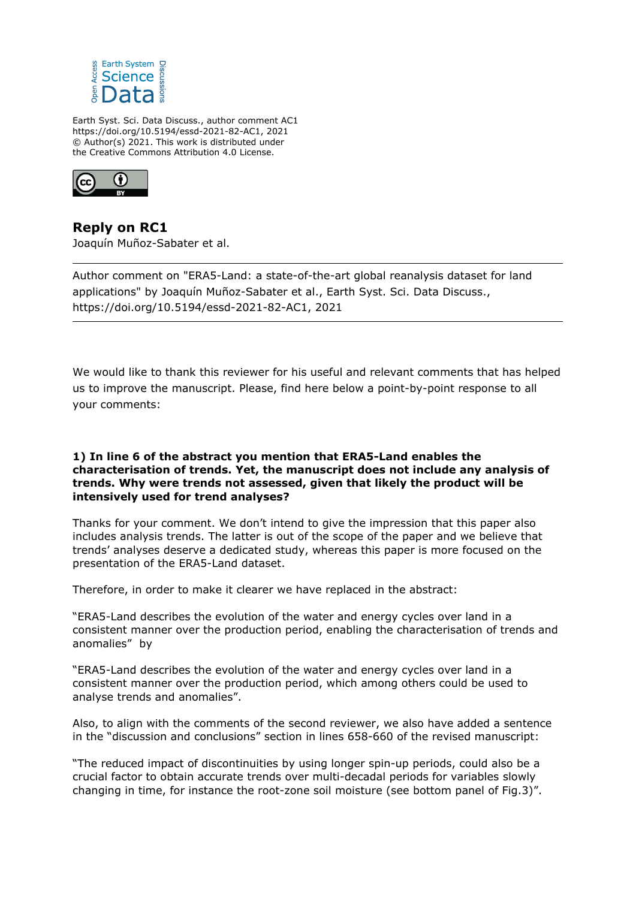

Earth Syst. Sci. Data Discuss., author comment AC1 https://doi.org/10.5194/essd-2021-82-AC1, 2021 © Author(s) 2021. This work is distributed under the Creative Commons Attribution 4.0 License.



**Reply on RC1** Joaquín Muñoz-Sabater et al.

Author comment on "ERA5-Land: a state-of-the-art global reanalysis dataset for land applications" by Joaquín Muñoz-Sabater et al., Earth Syst. Sci. Data Discuss., https://doi.org/10.5194/essd-2021-82-AC1, 2021

We would like to thank this reviewer for his useful and relevant comments that has helped us to improve the manuscript. Please, find here below a point-by-point response to all your comments:

## **1) In line 6 of the abstract you mention that ERA5-Land enables the characterisation of trends. Yet, the manuscript does not include any analysis of trends. Why were trends not assessed, given that likely the product will be intensively used for trend analyses?**

Thanks for your comment. We don't intend to give the impression that this paper also includes analysis trends. The latter is out of the scope of the paper and we believe that trends' analyses deserve a dedicated study, whereas this paper is more focused on the presentation of the ERA5-Land dataset.

Therefore, in order to make it clearer we have replaced in the abstract:

"ERA5-Land describes the evolution of the water and energy cycles over land in a consistent manner over the production period, enabling the characterisation of trends and anomalies" by

"ERA5-Land describes the evolution of the water and energy cycles over land in a consistent manner over the production period, which among others could be used to analyse trends and anomalies".

Also, to align with the comments of the second reviewer, we also have added a sentence in the "discussion and conclusions" section in lines 658-660 of the revised manuscript:

"The reduced impact of discontinuities by using longer spin-up periods, could also be a crucial factor to obtain accurate trends over multi-decadal periods for variables slowly changing in time, for instance the root-zone soil moisture (see bottom panel of Fig.3)".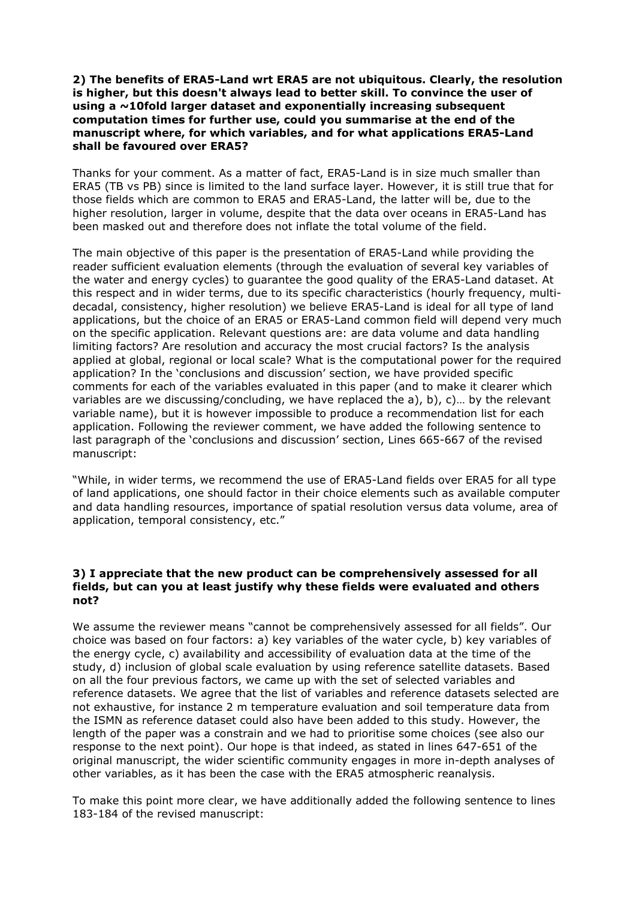### **2) The benefits of ERA5-Land wrt ERA5 are not ubiquitous. Clearly, the resolution is higher, but this doesn't always lead to better skill. To convince the user of using a ~10fold larger dataset and exponentially increasing subsequent computation times for further use, could you summarise at the end of the manuscript where, for which variables, and for what applications ERA5-Land shall be favoured over ERA5?**

Thanks for your comment. As a matter of fact, ERA5-Land is in size much smaller than ERA5 (TB vs PB) since is limited to the land surface layer. However, it is still true that for those fields which are common to ERA5 and ERA5-Land, the latter will be, due to the higher resolution, larger in volume, despite that the data over oceans in ERA5-Land has been masked out and therefore does not inflate the total volume of the field.

The main objective of this paper is the presentation of ERA5-Land while providing the reader sufficient evaluation elements (through the evaluation of several key variables of the water and energy cycles) to guarantee the good quality of the ERA5-Land dataset. At this respect and in wider terms, due to its specific characteristics (hourly frequency, multidecadal, consistency, higher resolution) we believe ERA5-Land is ideal for all type of land applications, but the choice of an ERA5 or ERA5-Land common field will depend very much on the specific application. Relevant questions are: are data volume and data handling limiting factors? Are resolution and accuracy the most crucial factors? Is the analysis applied at global, regional or local scale? What is the computational power for the required application? In the 'conclusions and discussion' section, we have provided specific comments for each of the variables evaluated in this paper (and to make it clearer which variables are we discussing/concluding, we have replaced the a), b), c)… by the relevant variable name), but it is however impossible to produce a recommendation list for each application. Following the reviewer comment, we have added the following sentence to last paragraph of the 'conclusions and discussion' section, Lines 665-667 of the revised manuscript:

"While, in wider terms, we recommend the use of ERA5-Land fields over ERA5 for all type of land applications, one should factor in their choice elements such as available computer and data handling resources, importance of spatial resolution versus data volume, area of application, temporal consistency, etc."

## **3) I appreciate that the new product can be comprehensively assessed for all fields, but can you at least justify why these fields were evaluated and others not?**

We assume the reviewer means "cannot be comprehensively assessed for all fields". Our choice was based on four factors: a) key variables of the water cycle, b) key variables of the energy cycle, c) availability and accessibility of evaluation data at the time of the study, d) inclusion of global scale evaluation by using reference satellite datasets. Based on all the four previous factors, we came up with the set of selected variables and reference datasets. We agree that the list of variables and reference datasets selected are not exhaustive, for instance 2 m temperature evaluation and soil temperature data from the ISMN as reference dataset could also have been added to this study. However, the length of the paper was a constrain and we had to prioritise some choices (see also our response to the next point). Our hope is that indeed, as stated in lines 647-651 of the original manuscript, the wider scientific community engages in more in-depth analyses of other variables, as it has been the case with the ERA5 atmospheric reanalysis.

To make this point more clear, we have additionally added the following sentence to lines 183-184 of the revised manuscript: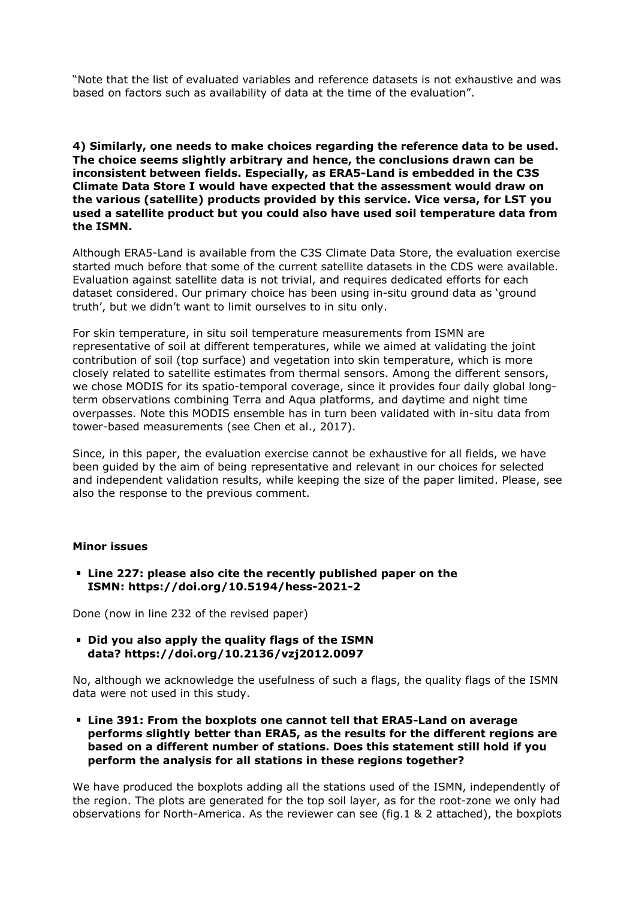"Note that the list of evaluated variables and reference datasets is not exhaustive and was based on factors such as availability of data at the time of the evaluation".

**4) Similarly, one needs to make choices regarding the reference data to be used. The choice seems slightly arbitrary and hence, the conclusions drawn can be inconsistent between fields. Especially, as ERA5-Land is embedded in the C3S Climate Data Store I would have expected that the assessment would draw on the various (satellite) products provided by this service. Vice versa, for LST you used a satellite product but you could also have used soil temperature data from the ISMN.**

Although ERA5-Land is available from the C3S Climate Data Store, the evaluation exercise started much before that some of the current satellite datasets in the CDS were available. Evaluation against satellite data is not trivial, and requires dedicated efforts for each dataset considered. Our primary choice has been using in-situ ground data as 'ground truth', but we didn't want to limit ourselves to in situ only.

For skin temperature, in situ soil temperature measurements from ISMN are representative of soil at different temperatures, while we aimed at validating the joint contribution of soil (top surface) and vegetation into skin temperature, which is more closely related to satellite estimates from thermal sensors. Among the different sensors, we chose MODIS for its spatio-temporal coverage, since it provides four daily global longterm observations combining Terra and Aqua platforms, and daytime and night time overpasses. Note this MODIS ensemble has in turn been validated with in-situ data from tower-based measurements (see Chen et al., 2017).

Since, in this paper, the evaluation exercise cannot be exhaustive for all fields, we have been guided by the aim of being representative and relevant in our choices for selected and independent validation results, while keeping the size of the paper limited. Please, see also the response to the previous comment.

#### **Minor issues**

**Line 227: please also cite the recently published paper on the ISMN: https://doi.org/10.5194/hess-2021-2**

Done (now in line 232 of the revised paper)

**Did you also apply the quality flags of the ISMN data? https://doi.org/10.2136/vzj2012.0097**

No, although we acknowledge the usefulness of such a flags, the quality flags of the ISMN data were not used in this study.

**Line 391: From the boxplots one cannot tell that ERA5-Land on average performs slightly better than ERA5, as the results for the different regions are based on a different number of stations. Does this statement still hold if you perform the analysis for all stations in these regions together?** 

We have produced the boxplots adding all the stations used of the ISMN, independently of the region. The plots are generated for the top soil layer, as for the root-zone we only had observations for North-America. As the reviewer can see (fig.1 & 2 attached), the boxplots